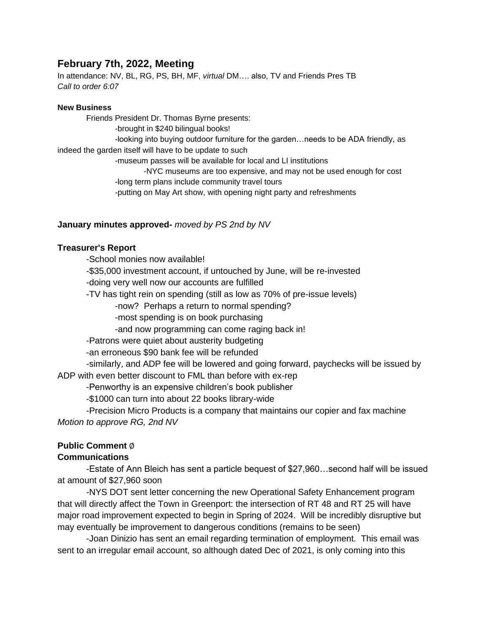## **February 7th, 2022, Meeting**

In attendance: NV, BL, RG, PS, BH, MF, *virtual* DM…. also, TV and Friends Pres TB *Call to order 6:07*

#### **New Business**

Friends President Dr. Thomas Byrne presents: -brought in \$240 bilingual books! -looking into buying outdoor furniture for the garden…needs to be ADA friendly, as indeed the garden itself will have to be update to such -museum passes will be available for local and LI institutions -NYC museums are too expensive, and may not be used enough for cost -long term plans include community travel tours

-putting on May Art show, with opening night party and refreshments

#### **January minutes approved-** *moved by PS 2nd by NV*

#### **Treasurer's Report**

-School monies now available!

-\$35,000 investment account, if untouched by June, will be re-invested

-doing very well now our accounts are fulfilled

-TV has tight rein on spending (still as low as 70% of pre-issue levels)

-now? Perhaps a return to normal spending?

-most spending is on book purchasing

-and now programming can come raging back in!

-Patrons were quiet about austerity budgeting

-an erroneous \$90 bank fee will be refunded

-similarly, and ADP fee will be lowered and going forward, paychecks will be issued by ADP with even better discount to FML than before with ex-rep

-Penworthy is an expensive children's book publisher

-\$1000 can turn into about 22 books library-wide

-Precision Micro Products is a company that maintains our copier and fax machine *Motion to approve RG, 2nd NV*

#### **Public Comment** ∅

#### **Communications**

-Estate of Ann Bleich has sent a particle bequest of \$27,960…second half will be issued at amount of \$27,960 soon

-NYS DOT sent letter concerning the new Operational Safety Enhancement program that will directly affect the Town in Greenport: the intersection of RT 48 and RT 25 will have major road improvement expected to begin in Spring of 2024. Will be incredibly disruptive but may eventually be improvement to dangerous conditions (remains to be seen)

-Joan Dinizio has sent an email regarding termination of employment. This email was sent to an irregular email account, so although dated Dec of 2021, is only coming into this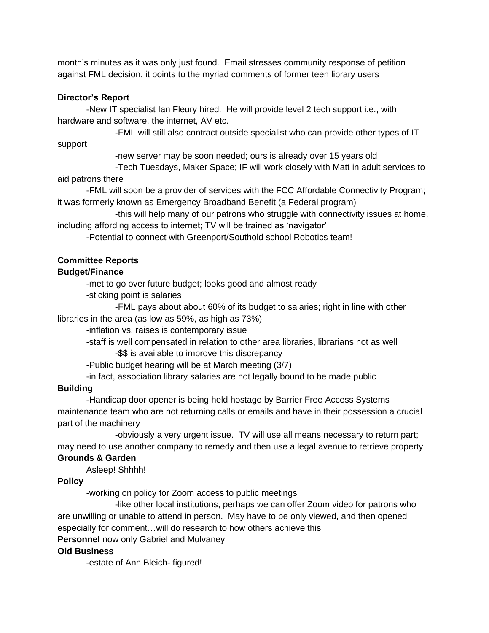month's minutes as it was only just found. Email stresses community response of petition against FML decision, it points to the myriad comments of former teen library users

## **Director's Report**

-New IT specialist Ian Fleury hired. He will provide level 2 tech support i.e., with hardware and software, the internet, AV etc.

-FML will still also contract outside specialist who can provide other types of IT

support

-new server may be soon needed; ours is already over 15 years old

-Tech Tuesdays, Maker Space; IF will work closely with Matt in adult services to aid patrons there

-FML will soon be a provider of services with the FCC Affordable Connectivity Program; it was formerly known as Emergency Broadband Benefit (a Federal program)

-this will help many of our patrons who struggle with connectivity issues at home, including affording access to internet; TV will be trained as 'navigator'

-Potential to connect with Greenport/Southold school Robotics team!

# **Committee Reports**

## **Budget/Finance**

-met to go over future budget; looks good and almost ready

-sticking point is salaries

-FML pays about about 60% of its budget to salaries; right in line with other libraries in the area (as low as 59%, as high as 73%)

-inflation vs. raises is contemporary issue

-staff is well compensated in relation to other area libraries, librarians not as well -\$\$ is available to improve this discrepancy

-Public budget hearing will be at March meeting (3/7)

-in fact, association library salaries are not legally bound to be made public

## **Building**

-Handicap door opener is being held hostage by Barrier Free Access Systems maintenance team who are not returning calls or emails and have in their possession a crucial part of the machinery

-obviously a very urgent issue. TV will use all means necessary to return part; may need to use another company to remedy and then use a legal avenue to retrieve property **Grounds & Garden**

# Asleep! Shhhh!

# **Policy**

-working on policy for Zoom access to public meetings

-like other local institutions, perhaps we can offer Zoom video for patrons who are unwilling or unable to attend in person. May have to be only viewed, and then opened especially for comment…will do research to how others achieve this

## **Personnel** now only Gabriel and Mulvaney

# **Old Business**

-estate of Ann Bleich- figured!